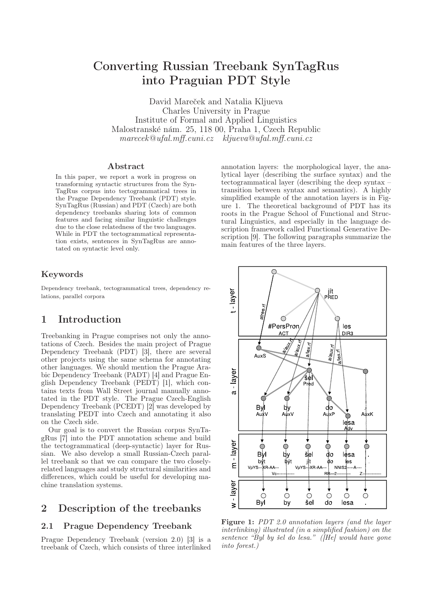# Converting Russian Treebank SynTagRus into Praguian PDT Style

David Mareček and Natalia Kljueva Charles University in Prague Institute of Formal and Applied Linguistics Malostranské nám. 25, 118 00, Praha 1, Czech Republic marecek@ufal.mff.cuni.cz kljueva@ufal.mff.cuni.cz

#### Abstract

In this paper, we report a work in progress on transforming syntactic structures from the Syn-TagRus corpus into tectogrammatical trees in the Prague Dependency Treebank (PDT) style. SynTagRus (Russian) and PDT (Czech) are both dependency treebanks sharing lots of common features and facing similar linguistic challenges due to the close relatedness of the two languages. While in PDT the tectogrammatical representation exists, sentences in SynTagRus are annotated on syntactic level only.

#### Keywords

Dependency treebank, tectogrammatical trees, dependency relations, parallel corpora

### 1 Introduction

Treebanking in Prague comprises not only the annotations of Czech. Besides the main project of Prague Dependency Treebank (PDT) [3], there are several other projects using the same schema for annotating other languages. We should mention the Prague Arabic Dependency Treebank (PADT) [4] and Prague English Dependency Treebank (PEDT) [1], which contains texts from Wall Street journal manually annotated in the PDT style. The Prague Czech-English Dependency Treebank (PCEDT) [2] was developed by translating PEDT into Czech and annotating it also on the Czech side.

Our goal is to convert the Russian corpus SynTagRus [7] into the PDT annotation scheme and build the tectogrammatical (deep-syntactic) layer for Russian. We also develop a small Russian-Czech parallel treebank so that we can compare the two closelyrelated languages and study structural similarities and differences, which could be useful for developing machine translation systems.

### 2 Description of the treebanks

#### 2.1 Prague Dependency Treebank

Prague Dependency Treebank (version 2.0) [3] is a treebank of Czech, which consists of three interlinked

annotation layers: the morphological layer, the analytical layer (describing the surface syntax) and the tectogrammatical layer (describing the deep syntax – transition between syntax and semantics). A highly simplified example of the annotation layers is in Figure 1. The theoretical background of PDT has its roots in the Prague School of Functional and Structural Linguistics, and especially in the language description framework called Functional Generative Description [9]. The following paragraphs summarize the main features of the three layers.



Figure 1: PDT 2.0 annotation layers (and the layer interlinking) illustrated (in a simplified fashion) on the sentence " $\tilde{B}$ yl by šel do lesa." (He) would have gone into forest.)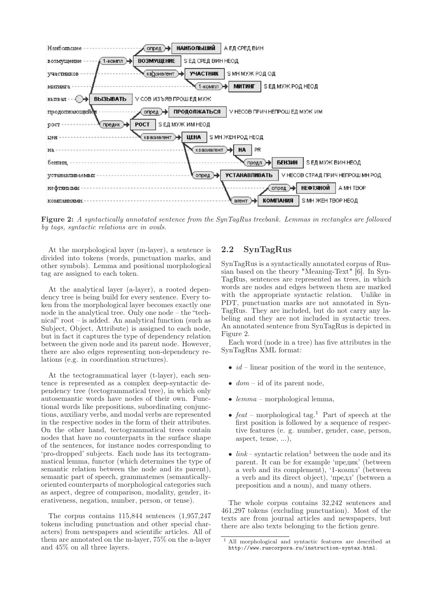

Figure 2: A syntactically annotated sentence from the SynTagRus treebank. Lemmas in rectangles are followed by tags, syntactic relations are in ovals.

At the morphological layer (m-layer), a sentence is divided into tokens (words, punctuation marks, and other symbols). Lemma and positional morphological tag are assigned to each token.

At the analytical layer (a-layer), a rooted dependency tree is being build for every sentence. Every token from the morphological layer becomes exactly one node in the analytical tree. Only one node – the "technical" root – is added. An analytical function (such as Subject, Object, Attribute) is assigned to each node, but in fact it captures the type of dependency relation between the given node and its parent node. However, there are also edges representing non-dependency relations (e.g. in coordination structures).

At the tectogrammatical layer (t-layer), each sentence is represented as a complex deep-syntactic dependency tree (tectogrammatical tree), in which only autosemantic words have nodes of their own. Functional words like prepositions, subordinating conjunctions, auxiliary verbs, and modal verbs are represented in the respective nodes in the form of their attributes. On the other hand, tectogrammatical trees contain nodes that have no counterparts in the surface shape of the sentences, for instance nodes corresponding to 'pro-dropped' subjects. Each node has its tectogrammatical lemma, functor (which determines the type of semantic relation between the node and its parent), semantic part of speech, grammatemes (semanticallyoriented counterparts of morphological categories such as aspect, degree of comparison, modality, gender, iterativeness, negation, number, person, or tense).

The corpus contains 115,844 sentences (1,957,247 tokens including punctuation and other special characters) from newspapers and scientific articles. All of them are annotated on the m-layer, 75% on the a-layer and 45% on all three layers.

### 2.2 SynTagRus

SynTagRus is a syntactically annotated corpus of Russian based on the theory "Meaning-Text" [6]. In Syn-TagRus, sentences are represented as trees, in which words are nodes and edges between them are marked with the appropriate syntactic relation. Unlike in PDT, punctuation marks are not annotated in Syn-TagRus. They are included, but do not carry any labeling and they are not included in syntactic trees. An annotated sentence from SynTagRus is depicted in Figure 2.

Each word (node in a tree) has five attributes in the SynTagRus XML format:

- $id$  linear position of the word in the sentence,
- $dom id$  of its parent node,
- $lemma morphological lemma$ ,
- feat morphological tag.<sup>1</sup> Part of speech at the first position is followed by a sequence of respective features (e. g. number, gender, case, person, aspect, tense, ...),
- $link$  syntactic relation<sup>1</sup> between the node and its parent. It can be for example 'предик' (between a verb and its complement), '1-компл' (between a verb and its direct object), 'предл' (between a preposition and a noun), and many others.

The whole corpus contains 32,242 sentences and 461,297 tokens (excluding punctuation). Most of the texts are from journal articles and newspapers, but there are also texts belonging to the fiction genre.

<sup>&</sup>lt;sup>1</sup> All morphological and syntactic features are described at http://www.ruscorpora.ru/instruction-syntax.html.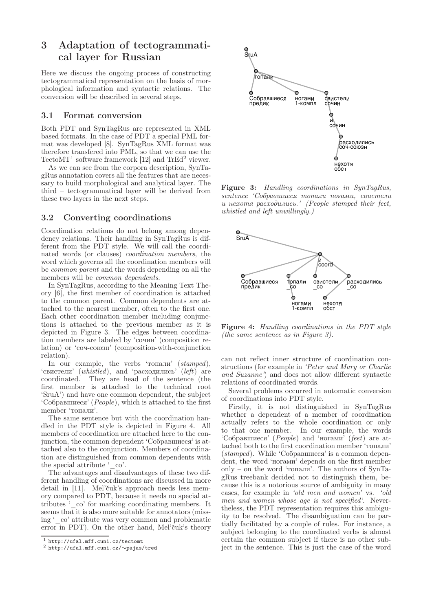## 3 Adaptation of tectogrammatical layer for Russian

Here we discuss the ongoing process of constructing tectogrammatical representation on the basis of morphological information and syntactic relations. The conversion will be described in several steps.

#### 3.1 Format conversion

Both PDT and SynTagRus are represented in XML based formats. In the case of PDT a special PML format was developed [8]. SynTagRus XML format was therefore transfered into PML, so that we can use the TectoMT<sup>1</sup> software framework [12] and TrEd<sup>2</sup> viewer.

As we can see from the corpora description, SynTagRus annotation covers all the features that are necessary to build morphological and analytical layer. The third – tectogrammatical layer will be derived from these two layers in the next steps.

#### 3.2 Converting coordinations

Coordination relations do not belong among dependency relations. Their handling in SynTagRus is different from the PDT style. We will call the coordinated words (or clauses) coordination members, the word which governs all the coordination members will be common parent and the words depending on all the members will be common dependents.

In SynTagRus, according to the Meaning Text Theory [6], the first member of coordination is attached to the common parent. Common dependents are attached to the nearest member, often to the first one. Each other coordination member including conjunctions is attached to the previous member as it is depicted in Figure 3. The edges between coordination members are labeled by 'сочин' (composition relation) or 'соч-союзн' (composition-with-conjunction relation).

In our example, the verbs 'топали' (stamped), 'свистели' (whistled), and 'расходились' (left) are coordinated. They are head of the sentence (the first member is attached to the technical root 'SruA') and have one common dependent, the subject 'Собравшиеся' (People), which is attached to the first member 'топали'.

The same sentence but with the coordination handled in the PDT style is depicted in Figure 4. All members of coordination are attached here to the conjunction, the common dependent 'Собравшиеся' is attached also to the conjunction. Members of coordination are distinguished from common dependents with the special attribute ' $\circ$  co'.

The advantages and disadvantages of these two different handling of coordinations are discussed in more detail in [11]. Mel'čuk's approach needs less memory compared to PDT, because it needs no special attributes '\_co' for marking coordinating members. It seems that it is also more suitable for annotators (missing '\_co' attribute was very common and problematic error in PDT). On the other hand, Mel'čuk's theory



Figure 3: Handling coordinations in SynTagRus, sentence 'Собравшиеся топали ногами, свистели и нехотя расходились.' (People stamped their feet, whistled and left unwillingly.)



Figure 4: Handling coordinations in the PDT style (the same sentence as in Figure 3).

can not reflect inner structure of coordination constructions (for example in 'Peter and Mary or Charlie and Suzanne') and does not allow different syntactic relations of coordinated words.

Several problems occurred in automatic conversion of coordinations into PDT style.

Firstly, it is not distinguished in SynTagRus whether a dependent of a member of coordination actually refers to the whole coordination or only to that one member. In our example, the words 'Собравшиеся'  $(People)$  and 'ногами' (feet) are attached both to the first coordination member 'топали' (stamped). While 'Собравшиеся' is a common dependent, the word 'ногами' depends on the first member only – on the word 'топали'. The authors of SynTagRus treebank decided not to distinguish them, because this is a notorious source of ambiguity in many cases, for example in 'old men and women' vs. 'old men and women whose age is not specified'. Nevertheless, the PDT representation requires this ambiguity to be resolved. The disambiguation can be partially facilitated by a couple of rules. For instance, a subject belonging to the coordinated verbs is almost certain the common subject if there is no other subject in the sentence. This is just the case of the word

<sup>1</sup> http://ufal.mff.cuni.cz/tectomt

<sup>2</sup> http://ufal.mff.cuni.cz/∼pajas/tred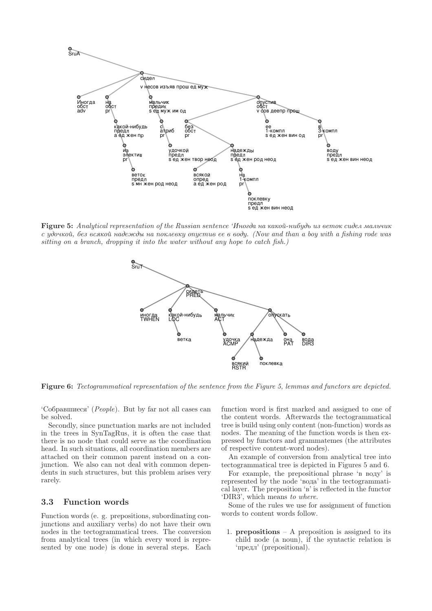

Figure 5: Analytical representation of the Russian sentence 'Иногда на какой-нибудь из веток сидел мальчик с удочкой, без всякой надежды на поклевку опустив ее в воду. (Now and than a boy with a fishing rode was sitting on a branch, dropping it into the water without any hope to catch fish.)



**Figure 6:** Tectogrammatical representation of the sentence from the Figure 5, lemmas and functors are depicted.

'Собравшиеся' (People). But by far not all cases can be solved.

Secondly, since punctuation marks are not included in the trees in SynTagRus, it is often the case that there is no node that could serve as the coordination head. In such situations, all coordination members are attached on their common parent instead on a conjunction. We also can not deal with common dependents in such structures, but this problem arises very rarely.

#### 3.3 **Function words**

Function words (e. g. prepositions, subordinating conjunctions and auxiliary verbs) do not have their own nodes in the tectogrammatical trees. The conversion from analytical trees (in which every word is represented by one node) is done in several steps. Each

function word is first marked and assigned to one of the content words. Afterwards the tectogrammatical tree is build using only content (non-function) words as nodes. The meaning of the function words is then expressed by functors and grammatemes (the attributes of respective content-word nodes).

An example of conversion from analytical tree into tectogrammatical tree is depicted in Figures 5 and 6.

For example, the prepositional phrase 'B BOAY' is represented by the node 'вода' in the tectogrammatical layer. The preposition 'B' is reflected in the functor 'DIR3', which means to where.

Some of the rules we use for assignment of function words to content words follow.

1. **prepositions**  $- A$  preposition is assigned to its child node (a noun), if the syntactic relation is 'предл' (prepositional).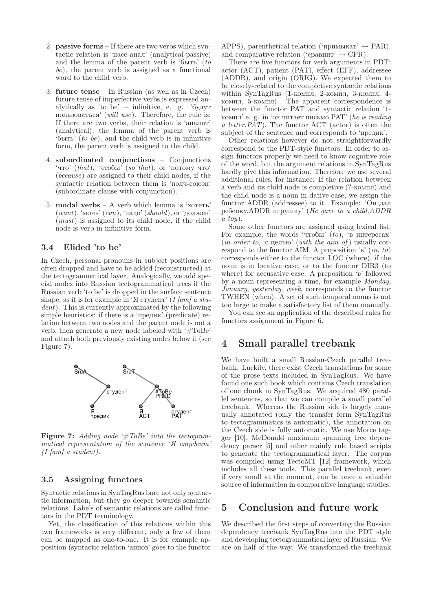- 2. passive forms If there are two verbs which syntactic relation is 'пасс-анал' (analytical-passive) and the lemma of the parent verb is 'быть' (to be), the parent verb is assigned as a functional word to the child verb.
- 3. future tense In Russian (as well as in Czech) future tense of imperfective verbs is expressed analytically as 'to be'  $+$  infinitive, e. g. 'будут пользоваться' (will use). Therefore, the rule is: If there are two verbs, their relation is 'аналит' (analytical), the lemma of the parent verb is  $\widetilde{\mathfrak{b}}$ ыть' (to be), and the child verb is in infinitive form, the parent verb is assigned to the child.
- 4. subordinated conjunctions Conjunctions 'что' (that), 'чтобы' (so that), or 'потому что' (because) are assigned to their child nodes, if the syntactic relation between them is 'подч-союзн' (subordinate clause with conjunction).
- 5. modal verbs A verb which lemma is 'хотеть'  $(want)$ , 'мочь'  $(can)$ , 'надо'  $(should)$ , ог 'должен'  $(must)$  is assigned to its child node, if the child node is verb in infinitive form.

#### 3.4 Elided 'to be'

In Czech, personal pronouns in subject positions are often dropped and have to be added (reconstructed) at the tectogrammatical layer. Analogically, we add special nodes into Russian tectogrammatical trees if the Russian verb 'to be' is dropped in the surface sentence shape, as it is for example in 'Я студент' (I [am] a student). This is currently approximated by the following simple heuristics: if there is a 'предик' (predicate) relation between two nodes and the parent node is not a verb, then generate a new node labeled with '#ToBe' and attach both previously existing nodes below it (see Figure 7).



Figure 7: Adding node '#ToBe' into the tectogrammatical representation of the sentence 'Я студент'  $(I \mid am)$  a student).

#### 3.5 Assigning functors

Syntactic relations in SynTagRus bare not only syntactic information, but they go deeper towards semantic relations. Labels of semantic relations are called functors in the PDT terminology.

Yet, the classification of this relations within this two frameworks is very different, only a few of them can be mapped as one-to-one. It is for example apposition (syntactic relation 'аппоз' goes to the functor

APPS), parenthetical relation ('примыкат'  $\rightarrow$  PAR), and comparative relation (' $cp$ авнит'  $\rightarrow$  CPR).

There are five functors for verb arguments in PDT: actor (ACT), patient (PAT), effect (EFF), addressee (ADDR), and origin (ORIG). We expected them to be closely-related to the completive syntactic relations within SynTagRus (1-компл, 2-компл, 3-компл, 4 компл, 5-компл). The apparent correspondence is between the functor PAT and syntactic relation '1 компл' e. g. in 'он читает письмо. $PAT'$  (he is reading a letter. $PAT$ ). The functor ACT (actor) is often the subject of the sentence and corresponds to 'предик'.

Other relations however do not straightforwardly correspond to the PDT-style functors. In order to assign functors properly we need to know cognitive role of the word, but the argument relations in SynTagRus hardly give this information. Therefore we use several additional rules, for instance: If the relation between a verb and its child node is completive (?-компл) and the child node is a noun in dative case, we assign the functor ADDR (addressee) to it. Example: 'Он дал ребенку.ADDR игрушку' (He gave to a child.ADDR  $a \, toy$ ).

Some other functors are assigned using lexical list. For example, the words 'чтобы'  $(to)$ , 'в интересах' (*in order to,*  $\emph{c}$  целью' (*with the aim of*) usually correspond to the functor AIM. A preposition 'в'  $(in, to)$ corresponds either to the functor LOC (where), if the noun is in locative case, or to the functor DIR3 (to where) for accusative case. A preposition 'в' followed by a noun representing a time, for example Monday, January, yesterday, week, corresponds to the functor TWHEN (when). A set of such temporal nouns is not too large to make a satisfactory list of them manually.

You can see an application of the described rules for functors assignment in Figure 6.

### 4 Small parallel treebank

We have built a small Russian-Czech parallel treebank. Luckily, there exist Czech translations for some of the prose texts included in SynTagRus. We have found one such book which contains Czech translation of one chunk in SynTagRus. We acquired 480 parallel sentences, so that we can compile a small parallel treebank. Whereas the Russian side is largely manually annotated (only the transfer form SynTagRus to tectogrammatics is automatic), the annotation on the Czech side is fully automatic. We use Morce tagger [10], McDonald maximum spanning tree dependency parser [5] and other mainly rule based scripts to generate the tectogrammatical layer. The corpus was compiled using TectoMT [12] framework, which includes all these tools. This parallel treebank, even if very small at the moment, can be once a valuable source of information in comparative language studies.

### 5 Conclusion and future work

We described the first steps of converting the Russian dependency treebank SynTagRus into the PDT style and developing tectogrammatical layer of Russian. We are on half of the way. We transformed the treebank